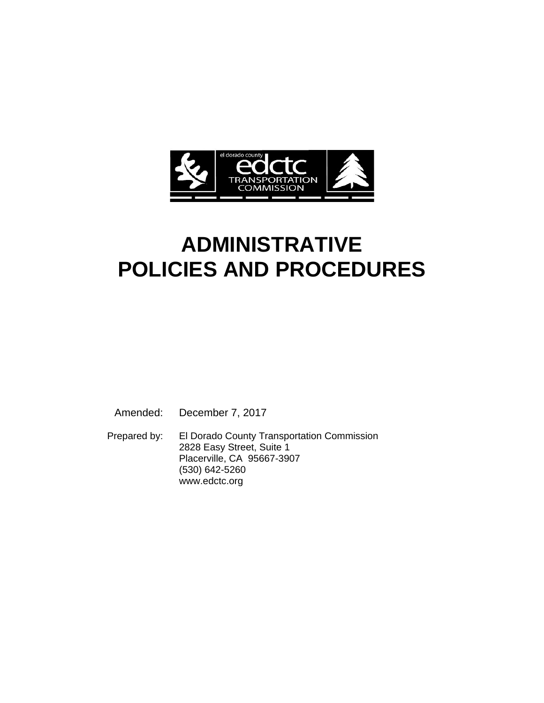

# **ADMINISTRATIVE POLICIES AND PROCEDURES**

Amended: December 7, 2017

 Prepared by: El Dorado County Transportation Commission 2828 Easy Street, Suite 1 Placerville, CA 95667-3907 (530) 642-5260 www.edctc.org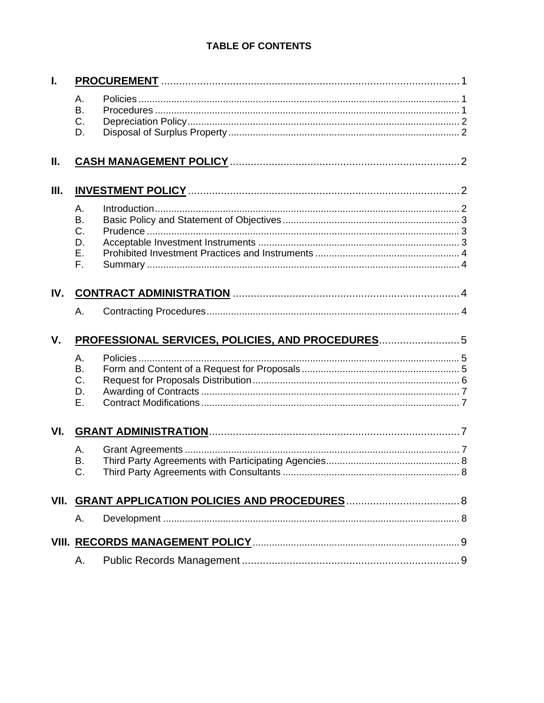### **TABLE OF CONTENTS**

| L    |                                                 |  |  |
|------|-------------------------------------------------|--|--|
|      | Α.<br>Β.<br>$C_{\cdot}$<br>D.                   |  |  |
| Ш.   |                                                 |  |  |
| III. |                                                 |  |  |
|      | А.<br><b>B.</b><br>C.<br>D.<br>Ε.<br>F.         |  |  |
| IV.  |                                                 |  |  |
|      | Α.                                              |  |  |
| V.   | PROFESSIONAL SERVICES, POLICIES, AND PROCEDURES |  |  |
|      | Α.<br><b>B.</b><br>C.<br>D.<br>Ε.               |  |  |
| VI.  |                                                 |  |  |
|      | А.<br>В.                                        |  |  |
|      |                                                 |  |  |
|      | Α.                                              |  |  |
|      |                                                 |  |  |
|      | А.                                              |  |  |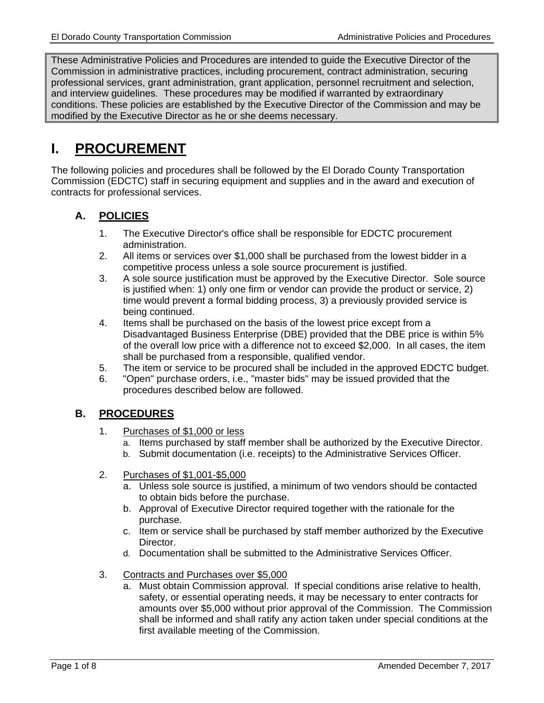These Administrative Policies and Procedures are intended to guide the Executive Director of the Commission in administrative practices, including procurement, contract administration, securing professional services, grant administration, grant application, personnel recruitment and selection, and interview guidelines. These procedures may be modified if warranted by extraordinary conditions. These policies are established by the Executive Director of the Commission and may be modified by the Executive Director as he or she deems necessary.

### **I. PROCUREMENT**

The following policies and procedures shall be followed by the El Dorado County Transportation Commission (EDCTC) staff in securing equipment and supplies and in the award and execution of contracts for professional services.

### **A. POLICIES**

- 1. The Executive Director's office shall be responsible for EDCTC procurement administration.
- 2. All items or services over \$1,000 shall be purchased from the lowest bidder in a competitive process unless a sole source procurement is justified.
- 3. A sole source justification must be approved by the Executive Director. Sole source is justified when: 1) only one firm or vendor can provide the product or service, 2) time would prevent a formal bidding process, 3) a previously provided service is being continued.
- 4. Items shall be purchased on the basis of the lowest price except from a Disadvantaged Business Enterprise (DBE) provided that the DBE price is within 5% of the overall low price with a difference not to exceed \$2,000. In all cases, the item shall be purchased from a responsible, qualified vendor.
- 5. The item or service to be procured shall be included in the approved EDCTC budget.
- 6. "Open" purchase orders, i.e., "master bids" may be issued provided that the procedures described below are followed.

### **B. PROCEDURES**

- 1. Purchases of \$1,000 or less
	- a. Items purchased by staff member shall be authorized by the Executive Director.
	- b. Submit documentation (i.e. receipts) to the Administrative Services Officer.
- 2. Purchases of \$1,001-\$5,000
	- a. Unless sole source is justified, a minimum of two vendors should be contacted to obtain bids before the purchase.
	- b. Approval of Executive Director required together with the rationale for the purchase.
	- c. Item or service shall be purchased by staff member authorized by the Executive Director.
	- d. Documentation shall be submitted to the Administrative Services Officer.
- 3. Contracts and Purchases over \$5,000
	- a. Must obtain Commission approval. If special conditions arise relative to health, safety, or essential operating needs, it may be necessary to enter contracts for amounts over \$5,000 without prior approval of the Commission. The Commission shall be informed and shall ratify any action taken under special conditions at the first available meeting of the Commission.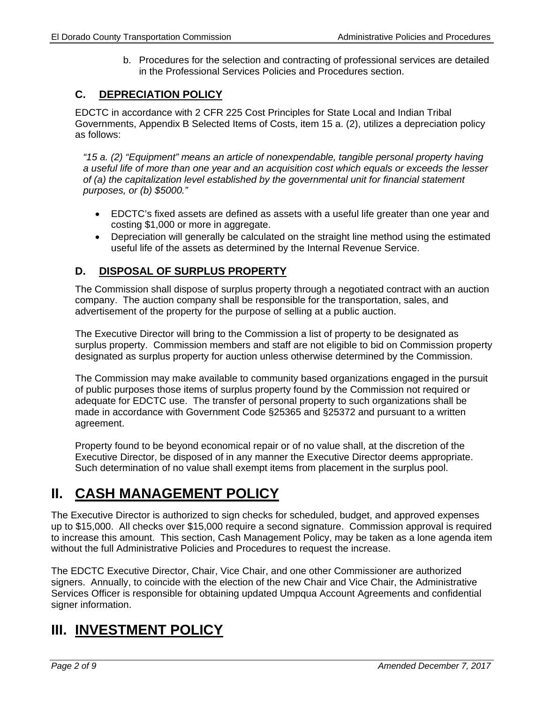b. Procedures for the selection and contracting of professional services are detailed in the Professional Services Policies and Procedures section.

### **C. DEPRECIATION POLICY**

EDCTC in accordance with 2 CFR 225 Cost Principles for State Local and Indian Tribal Governments, Appendix B Selected Items of Costs, item 15 a. (2), utilizes a depreciation policy as follows:

*"15 a. (2) "Equipment" means an article of nonexpendable, tangible personal property having a useful life of more than one year and an acquisition cost which equals or exceeds the lesser of (a) the capitalization level established by the governmental unit for financial statement purposes, or (b) \$5000."* 

- EDCTC's fixed assets are defined as assets with a useful life greater than one year and costing \$1,000 or more in aggregate.
- Depreciation will generally be calculated on the straight line method using the estimated useful life of the assets as determined by the Internal Revenue Service.

#### **D. DISPOSAL OF SURPLUS PROPERTY**

The Commission shall dispose of surplus property through a negotiated contract with an auction company. The auction company shall be responsible for the transportation, sales, and advertisement of the property for the purpose of selling at a public auction.

The Executive Director will bring to the Commission a list of property to be designated as surplus property. Commission members and staff are not eligible to bid on Commission property designated as surplus property for auction unless otherwise determined by the Commission.

The Commission may make available to community based organizations engaged in the pursuit of public purposes those items of surplus property found by the Commission not required or adequate for EDCTC use. The transfer of personal property to such organizations shall be made in accordance with Government Code §25365 and §25372 and pursuant to a written agreement.

Property found to be beyond economical repair or of no value shall, at the discretion of the Executive Director, be disposed of in any manner the Executive Director deems appropriate. Such determination of no value shall exempt items from placement in the surplus pool.

### **II. CASH MANAGEMENT POLICY**

The Executive Director is authorized to sign checks for scheduled, budget, and approved expenses up to \$15,000. All checks over \$15,000 require a second signature. Commission approval is required to increase this amount. This section, Cash Management Policy, may be taken as a lone agenda item without the full Administrative Policies and Procedures to request the increase.

The EDCTC Executive Director, Chair, Vice Chair, and one other Commissioner are authorized signers. Annually, to coincide with the election of the new Chair and Vice Chair, the Administrative Services Officer is responsible for obtaining updated Umpqua Account Agreements and confidential signer information.

### **III. INVESTMENT POLICY**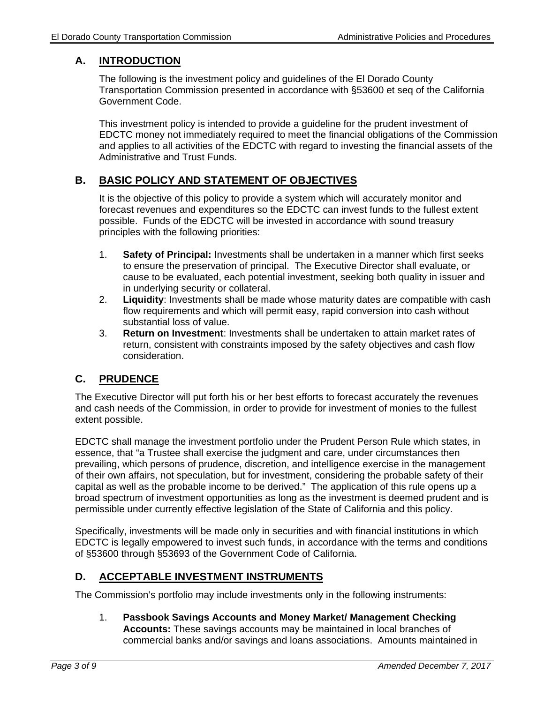### **A. INTRODUCTION**

The following is the investment policy and guidelines of the El Dorado County Transportation Commission presented in accordance with §53600 et seq of the California Government Code.

This investment policy is intended to provide a guideline for the prudent investment of EDCTC money not immediately required to meet the financial obligations of the Commission and applies to all activities of the EDCTC with regard to investing the financial assets of the Administrative and Trust Funds.

### **B. BASIC POLICY AND STATEMENT OF OBJECTIVES**

It is the objective of this policy to provide a system which will accurately monitor and forecast revenues and expenditures so the EDCTC can invest funds to the fullest extent possible. Funds of the EDCTC will be invested in accordance with sound treasury principles with the following priorities:

- 1. **Safety of Principal:** Investments shall be undertaken in a manner which first seeks to ensure the preservation of principal. The Executive Director shall evaluate, or cause to be evaluated, each potential investment, seeking both quality in issuer and in underlying security or collateral.
- 2. **Liquidity**: Investments shall be made whose maturity dates are compatible with cash flow requirements and which will permit easy, rapid conversion into cash without substantial loss of value.
- 3. **Return on Investment**: Investments shall be undertaken to attain market rates of return, consistent with constraints imposed by the safety objectives and cash flow consideration.

### **C. PRUDENCE**

The Executive Director will put forth his or her best efforts to forecast accurately the revenues and cash needs of the Commission, in order to provide for investment of monies to the fullest extent possible.

EDCTC shall manage the investment portfolio under the Prudent Person Rule which states, in essence, that "a Trustee shall exercise the judgment and care, under circumstances then prevailing, which persons of prudence, discretion, and intelligence exercise in the management of their own affairs, not speculation, but for investment, considering the probable safety of their capital as well as the probable income to be derived." The application of this rule opens up a broad spectrum of investment opportunities as long as the investment is deemed prudent and is permissible under currently effective legislation of the State of California and this policy.

Specifically, investments will be made only in securities and with financial institutions in which EDCTC is legally empowered to invest such funds, in accordance with the terms and conditions of §53600 through §53693 of the Government Code of California.

### **D. ACCEPTABLE INVESTMENT INSTRUMENTS**

The Commission's portfolio may include investments only in the following instruments:

1. **Passbook Savings Accounts and Money Market/ Management Checking Accounts:** These savings accounts may be maintained in local branches of commercial banks and/or savings and loans associations. Amounts maintained in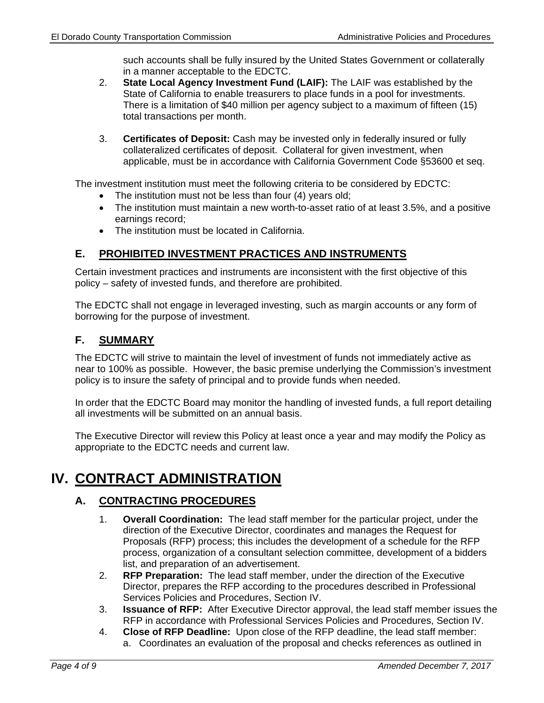such accounts shall be fully insured by the United States Government or collaterally in a manner acceptable to the EDCTC.

- 2. **State Local Agency Investment Fund (LAIF):** The LAIF was established by the State of California to enable treasurers to place funds in a pool for investments. There is a limitation of \$40 million per agency subject to a maximum of fifteen (15) total transactions per month.
- 3. **Certificates of Deposit:** Cash may be invested only in federally insured or fully collateralized certificates of deposit. Collateral for given investment, when applicable, must be in accordance with California Government Code §53600 et seq.

The investment institution must meet the following criteria to be considered by EDCTC:

- The institution must not be less than four (4) years old;
- The institution must maintain a new worth-to-asset ratio of at least 3.5%, and a positive earnings record;
- The institution must be located in California.

### **E. PROHIBITED INVESTMENT PRACTICES AND INSTRUMENTS**

Certain investment practices and instruments are inconsistent with the first objective of this policy – safety of invested funds, and therefore are prohibited.

The EDCTC shall not engage in leveraged investing, such as margin accounts or any form of borrowing for the purpose of investment.

#### **F. SUMMARY**

The EDCTC will strive to maintain the level of investment of funds not immediately active as near to 100% as possible. However, the basic premise underlying the Commission's investment policy is to insure the safety of principal and to provide funds when needed.

In order that the EDCTC Board may monitor the handling of invested funds, a full report detailing all investments will be submitted on an annual basis.

The Executive Director will review this Policy at least once a year and may modify the Policy as appropriate to the EDCTC needs and current law.

# **IV. CONTRACT ADMINISTRATION**

### **A. CONTRACTING PROCEDURES**

- 1. **Overall Coordination:** The lead staff member for the particular project, under the direction of the Executive Director, coordinates and manages the Request for Proposals (RFP) process; this includes the development of a schedule for the RFP process, organization of a consultant selection committee, development of a bidders list, and preparation of an advertisement.
- 2. **RFP Preparation:** The lead staff member, under the direction of the Executive Director, prepares the RFP according to the procedures described in Professional Services Policies and Procedures, Section IV.
- 3. **Issuance of RFP:** After Executive Director approval, the lead staff member issues the RFP in accordance with Professional Services Policies and Procedures, Section IV.
- 4. **Close of RFP Deadline:** Upon close of the RFP deadline, the lead staff member: a. Coordinates an evaluation of the proposal and checks references as outlined in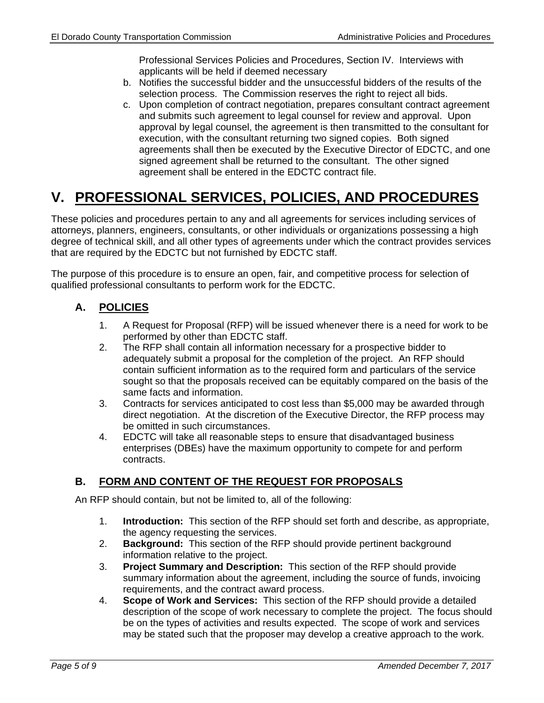Professional Services Policies and Procedures, Section IV. Interviews with applicants will be held if deemed necessary

- b. Notifies the successful bidder and the unsuccessful bidders of the results of the selection process. The Commission reserves the right to reject all bids.
- c. Upon completion of contract negotiation, prepares consultant contract agreement and submits such agreement to legal counsel for review and approval. Upon approval by legal counsel, the agreement is then transmitted to the consultant for execution, with the consultant returning two signed copies. Both signed agreements shall then be executed by the Executive Director of EDCTC, and one signed agreement shall be returned to the consultant. The other signed agreement shall be entered in the EDCTC contract file.

# **V. PROFESSIONAL SERVICES, POLICIES, AND PROCEDURES**

These policies and procedures pertain to any and all agreements for services including services of attorneys, planners, engineers, consultants, or other individuals or organizations possessing a high degree of technical skill, and all other types of agreements under which the contract provides services that are required by the EDCTC but not furnished by EDCTC staff.

The purpose of this procedure is to ensure an open, fair, and competitive process for selection of qualified professional consultants to perform work for the EDCTC.

### **A. POLICIES**

- 1. A Request for Proposal (RFP) will be issued whenever there is a need for work to be performed by other than EDCTC staff.
- 2. The RFP shall contain all information necessary for a prospective bidder to adequately submit a proposal for the completion of the project. An RFP should contain sufficient information as to the required form and particulars of the service sought so that the proposals received can be equitably compared on the basis of the same facts and information.
- 3. Contracts for services anticipated to cost less than \$5,000 may be awarded through direct negotiation. At the discretion of the Executive Director, the RFP process may be omitted in such circumstances.
- 4. EDCTC will take all reasonable steps to ensure that disadvantaged business enterprises (DBEs) have the maximum opportunity to compete for and perform contracts.

### **B. FORM AND CONTENT OF THE REQUEST FOR PROPOSALS**

An RFP should contain, but not be limited to, all of the following:

- 1. **Introduction:** This section of the RFP should set forth and describe, as appropriate, the agency requesting the services.
- 2. **Background:** This section of the RFP should provide pertinent background information relative to the project.
- 3. **Project Summary and Description:** This section of the RFP should provide summary information about the agreement, including the source of funds, invoicing requirements, and the contract award process.
- 4. **Scope of Work and Services:** This section of the RFP should provide a detailed description of the scope of work necessary to complete the project. The focus should be on the types of activities and results expected. The scope of work and services may be stated such that the proposer may develop a creative approach to the work.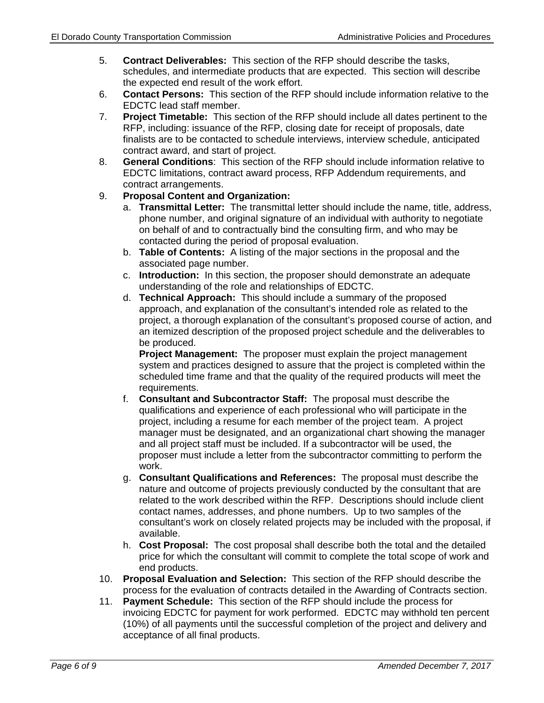- 5. **Contract Deliverables:** This section of the RFP should describe the tasks, schedules, and intermediate products that are expected. This section will describe the expected end result of the work effort.
- 6. **Contact Persons:** This section of the RFP should include information relative to the EDCTC lead staff member.
- 7. **Project Timetable:** This section of the RFP should include all dates pertinent to the RFP, including: issuance of the RFP, closing date for receipt of proposals, date finalists are to be contacted to schedule interviews, interview schedule, anticipated contract award, and start of project.
- 8. **General Conditions**: This section of the RFP should include information relative to EDCTC limitations, contract award process, RFP Addendum requirements, and contract arrangements.

#### 9. **Proposal Content and Organization:**

- a. **Transmittal Letter:** The transmittal letter should include the name, title, address, phone number, and original signature of an individual with authority to negotiate on behalf of and to contractually bind the consulting firm, and who may be contacted during the period of proposal evaluation.
- b. **Table of Contents:** A listing of the major sections in the proposal and the associated page number.
- c. **Introduction:** In this section, the proposer should demonstrate an adequate understanding of the role and relationships of EDCTC.
- d. **Technical Approach:** This should include a summary of the proposed approach, and explanation of the consultant's intended role as related to the project, a thorough explanation of the consultant's proposed course of action, and an itemized description of the proposed project schedule and the deliverables to be produced.

**Project Management:** The proposer must explain the project management system and practices designed to assure that the project is completed within the scheduled time frame and that the quality of the required products will meet the requirements.

- f. **Consultant and Subcontractor Staff:** The proposal must describe the qualifications and experience of each professional who will participate in the project, including a resume for each member of the project team. A project manager must be designated, and an organizational chart showing the manager and all project staff must be included. If a subcontractor will be used, the proposer must include a letter from the subcontractor committing to perform the work.
- g. **Consultant Qualifications and References:** The proposal must describe the nature and outcome of projects previously conducted by the consultant that are related to the work described within the RFP. Descriptions should include client contact names, addresses, and phone numbers. Up to two samples of the consultant's work on closely related projects may be included with the proposal, if available.
- h. **Cost Proposal:** The cost proposal shall describe both the total and the detailed price for which the consultant will commit to complete the total scope of work and end products.
- 10. **Proposal Evaluation and Selection:** This section of the RFP should describe the process for the evaluation of contracts detailed in the Awarding of Contracts section.
- 11. **Payment Schedule:** This section of the RFP should include the process for invoicing EDCTC for payment for work performed. EDCTC may withhold ten percent (10%) of all payments until the successful completion of the project and delivery and acceptance of all final products.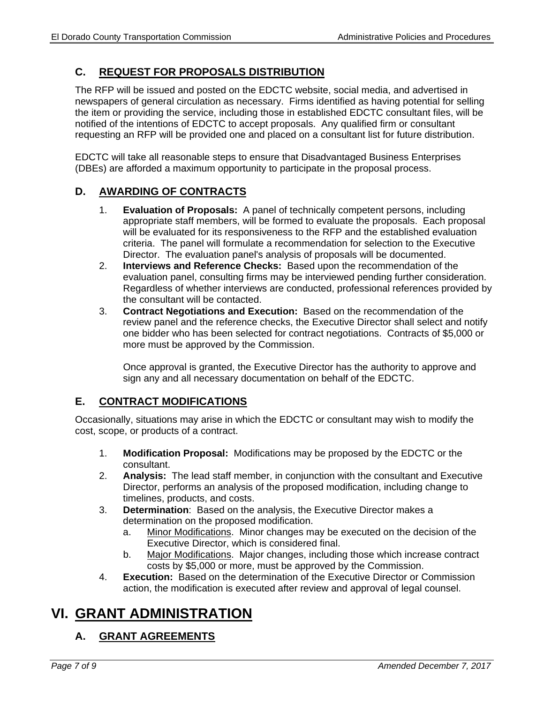### **C. REQUEST FOR PROPOSALS DISTRIBUTION**

The RFP will be issued and posted on the EDCTC website, social media, and advertised in newspapers of general circulation as necessary. Firms identified as having potential for selling the item or providing the service, including those in established EDCTC consultant files, will be notified of the intentions of EDCTC to accept proposals. Any qualified firm or consultant requesting an RFP will be provided one and placed on a consultant list for future distribution.

EDCTC will take all reasonable steps to ensure that Disadvantaged Business Enterprises (DBEs) are afforded a maximum opportunity to participate in the proposal process.

### **D. AWARDING OF CONTRACTS**

- 1. **Evaluation of Proposals:** A panel of technically competent persons, including appropriate staff members, will be formed to evaluate the proposals. Each proposal will be evaluated for its responsiveness to the RFP and the established evaluation criteria. The panel will formulate a recommendation for selection to the Executive Director. The evaluation panel's analysis of proposals will be documented.
- 2. **Interviews and Reference Checks:** Based upon the recommendation of the evaluation panel, consulting firms may be interviewed pending further consideration. Regardless of whether interviews are conducted, professional references provided by the consultant will be contacted.
- 3. **Contract Negotiations and Execution:** Based on the recommendation of the review panel and the reference checks, the Executive Director shall select and notify one bidder who has been selected for contract negotiations. Contracts of \$5,000 or more must be approved by the Commission.

 Once approval is granted, the Executive Director has the authority to approve and sign any and all necessary documentation on behalf of the EDCTC.

### **E. CONTRACT MODIFICATIONS**

Occasionally, situations may arise in which the EDCTC or consultant may wish to modify the cost, scope, or products of a contract.

- 1. **Modification Proposal:** Modifications may be proposed by the EDCTC or the consultant.
- 2. **Analysis:** The lead staff member, in conjunction with the consultant and Executive Director, performs an analysis of the proposed modification, including change to timelines, products, and costs.
- 3. **Determination**: Based on the analysis, the Executive Director makes a determination on the proposed modification.
	- a. Minor Modifications. Minor changes may be executed on the decision of the Executive Director, which is considered final.
	- b. Major Modifications. Major changes, including those which increase contract costs by \$5,000 or more, must be approved by the Commission.
- 4. **Execution:** Based on the determination of the Executive Director or Commission action, the modification is executed after review and approval of legal counsel.

# **VI. GRANT ADMINISTRATION**

### **A. GRANT AGREEMENTS**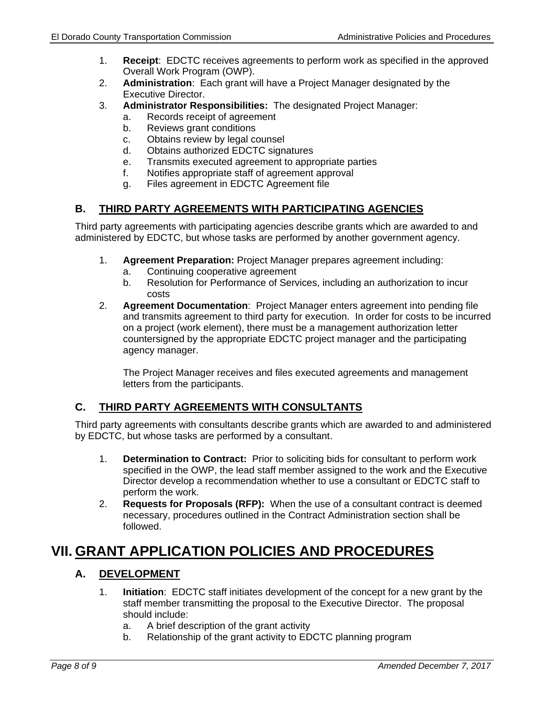- 1. **Receipt**: EDCTC receives agreements to perform work as specified in the approved Overall Work Program (OWP).
- 2. **Administration**: Each grant will have a Project Manager designated by the Executive Director.
- 3. **Administrator Responsibilities:** The designated Project Manager:
	- a. Records receipt of agreement
	- b. Reviews grant conditions
	- c. Obtains review by legal counsel
	- d. Obtains authorized EDCTC signatures
	- e. Transmits executed agreement to appropriate parties
	- f. Notifies appropriate staff of agreement approval
	- g. Files agreement in EDCTC Agreement file

### **B. THIRD PARTY AGREEMENTS WITH PARTICIPATING AGENCIES**

Third party agreements with participating agencies describe grants which are awarded to and administered by EDCTC, but whose tasks are performed by another government agency.

- 1. **Agreement Preparation:** Project Manager prepares agreement including:
	- a. Continuing cooperative agreement
	- b. Resolution for Performance of Services, including an authorization to incur costs
- 2. **Agreement Documentation**: Project Manager enters agreement into pending file and transmits agreement to third party for execution. In order for costs to be incurred on a project (work element), there must be a management authorization letter countersigned by the appropriate EDCTC project manager and the participating agency manager.

 The Project Manager receives and files executed agreements and management letters from the participants.

### **C. THIRD PARTY AGREEMENTS WITH CONSULTANTS**

Third party agreements with consultants describe grants which are awarded to and administered by EDCTC, but whose tasks are performed by a consultant.

- 1. **Determination to Contract:** Prior to soliciting bids for consultant to perform work specified in the OWP, the lead staff member assigned to the work and the Executive Director develop a recommendation whether to use a consultant or EDCTC staff to perform the work.
- 2. **Requests for Proposals (RFP):** When the use of a consultant contract is deemed necessary, procedures outlined in the Contract Administration section shall be followed.

# **VII. GRANT APPLICATION POLICIES AND PROCEDURES**

### **A. DEVELOPMENT**

- 1. **Initiation**: EDCTC staff initiates development of the concept for a new grant by the staff member transmitting the proposal to the Executive Director. The proposal should include:
	- a. A brief description of the grant activity
	- b. Relationship of the grant activity to EDCTC planning program